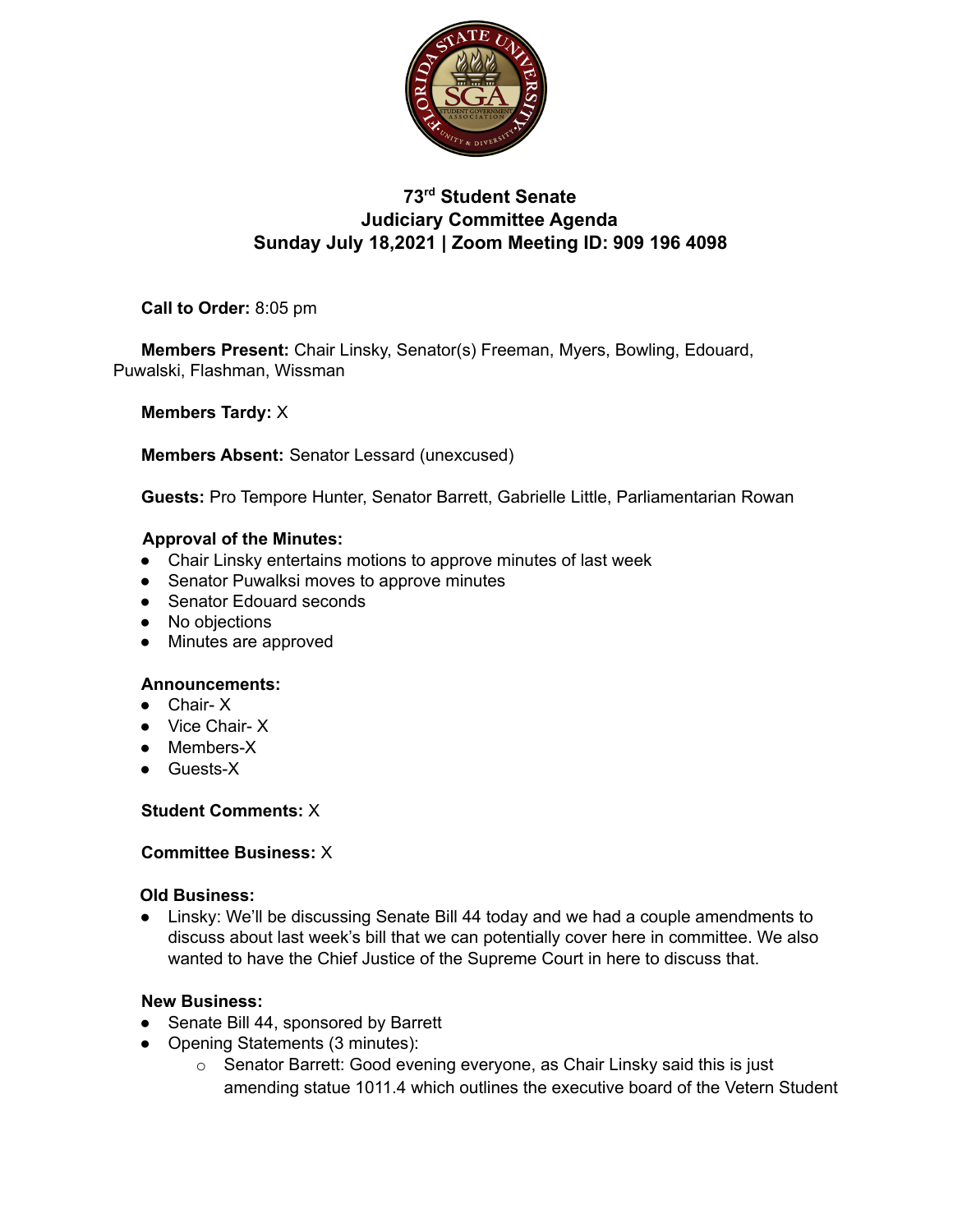

# **73rd Student Senate Judiciary Committee Agenda Sunday July 18,2021 | Zoom Meeting ID: 909 196 4098**

**Call to Order:** 8:05 pm

**Members Present:** Chair Linsky, Senator(s) Freeman, Myers, Bowling, Edouard, Puwalski, Flashman, Wissman

**Members Tardy:** X

**Members Absent:** Senator Lessard (unexcused)

**Guests:** Pro Tempore Hunter, Senator Barrett, Gabrielle Little, Parliamentarian Rowan

### **Approval of the Minutes:**

- Chair Linsky entertains motions to approve minutes of last week
- Senator Puwalksi moves to approve minutes
- Senator Edouard seconds
- No objections
- Minutes are approved

# **Announcements:**

- Chair- X
- Vice Chair- X
- Members-X
- Guests-X

# **Student Comments:** X

# **Committee Business:** X

### **Old Business:**

● Linsky: We'll be discussing Senate Bill 44 today and we had a couple amendments to discuss about last week's bill that we can potentially cover here in committee. We also wanted to have the Chief Justice of the Supreme Court in here to discuss that.

# **New Business:**

- Senate Bill 44, sponsored by Barrett
- Opening Statements (3 minutes):
	- o Senator Barrett: Good evening everyone, as Chair Linsky said this is just amending statue 1011.4 which outlines the executive board of the Vetern Student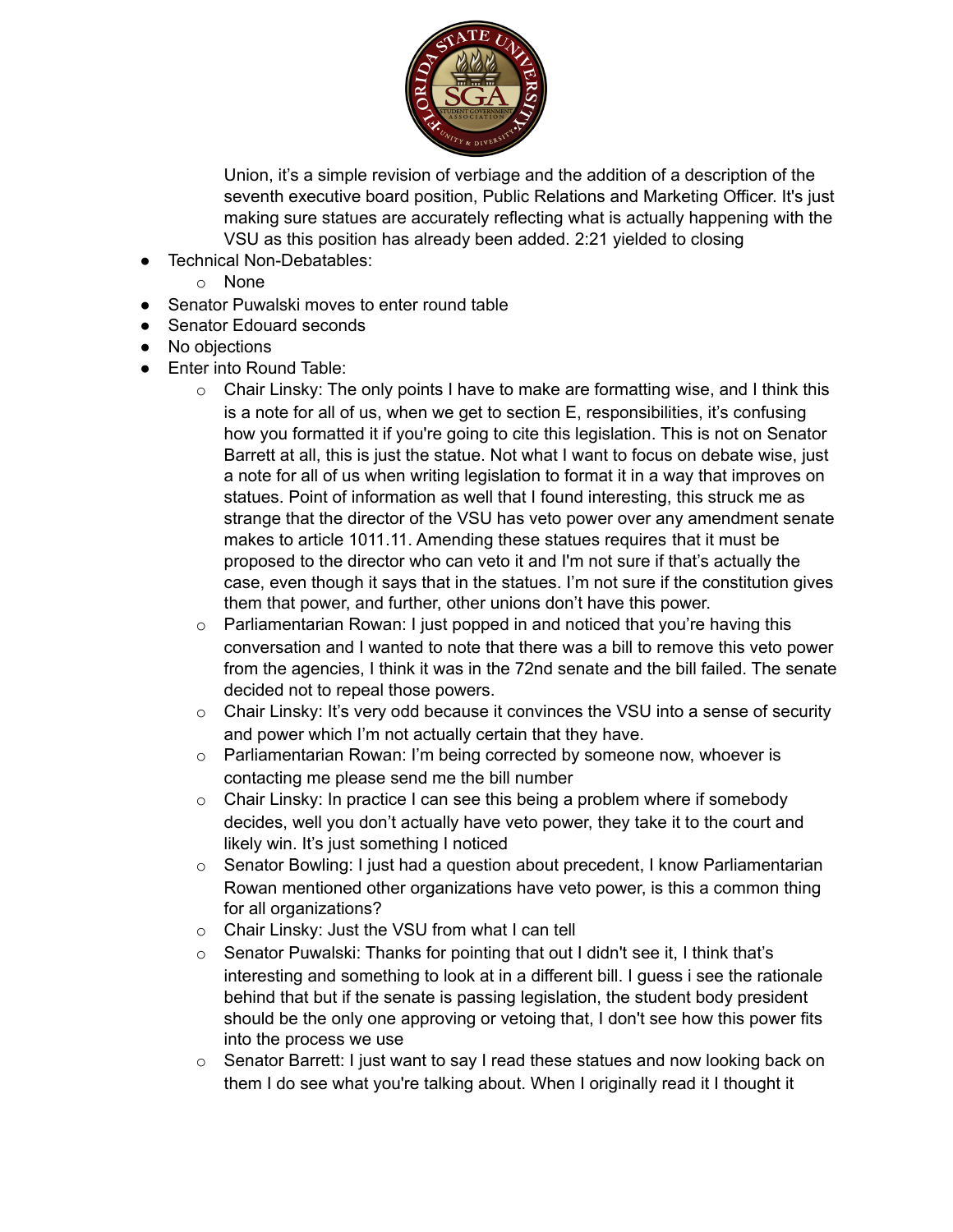

Union, it's a simple revision of verbiage and the addition of a description of the seventh executive board position, Public Relations and Marketing Officer. It's just making sure statues are accurately reflecting what is actually happening with the VSU as this position has already been added. 2:21 yielded to closing

- Technical Non-Debatables:
	- o None
- Senator Puwalski moves to enter round table
- Senator Edouard seconds
- No objections
- Enter into Round Table:
	- $\circ$  Chair Linsky: The only points I have to make are formatting wise, and I think this is a note for all of us, when we get to section E, responsibilities, it's confusing how you formatted it if you're going to cite this legislation. This is not on Senator Barrett at all, this is just the statue. Not what I want to focus on debate wise, just a note for all of us when writing legislation to format it in a way that improves on statues. Point of information as well that I found interesting, this struck me as strange that the director of the VSU has veto power over any amendment senate makes to article 1011.11. Amending these statues requires that it must be proposed to the director who can veto it and I'm not sure if that's actually the case, even though it says that in the statues. I'm not sure if the constitution gives them that power, and further, other unions don't have this power.
	- $\circ$  Parliamentarian Rowan: I just popped in and noticed that you're having this conversation and I wanted to note that there was a bill to remove this veto power from the agencies, I think it was in the 72nd senate and the bill failed. The senate decided not to repeal those powers.
	- $\circ$  Chair Linsky: It's very odd because it convinces the VSU into a sense of security and power which I'm not actually certain that they have.
	- $\circ$  Parliamentarian Rowan: I'm being corrected by someone now, whoever is contacting me please send me the bill number
	- $\circ$  Chair Linsky: In practice I can see this being a problem where if somebody decides, well you don't actually have veto power, they take it to the court and likely win. It's just something I noticed
	- o Senator Bowling: I just had a question about precedent, I know Parliamentarian Rowan mentioned other organizations have veto power, is this a common thing for all organizations?
	- o Chair Linsky: Just the VSU from what I can tell
	- o Senator Puwalski: Thanks for pointing that out I didn't see it, I think that's interesting and something to look at in a different bill. I guess i see the rationale behind that but if the senate is passing legislation, the student body president should be the only one approving or vetoing that, I don't see how this power fits into the process we use
	- o Senator Barrett: I just want to say I read these statues and now looking back on them I do see what you're talking about. When I originally read it I thought it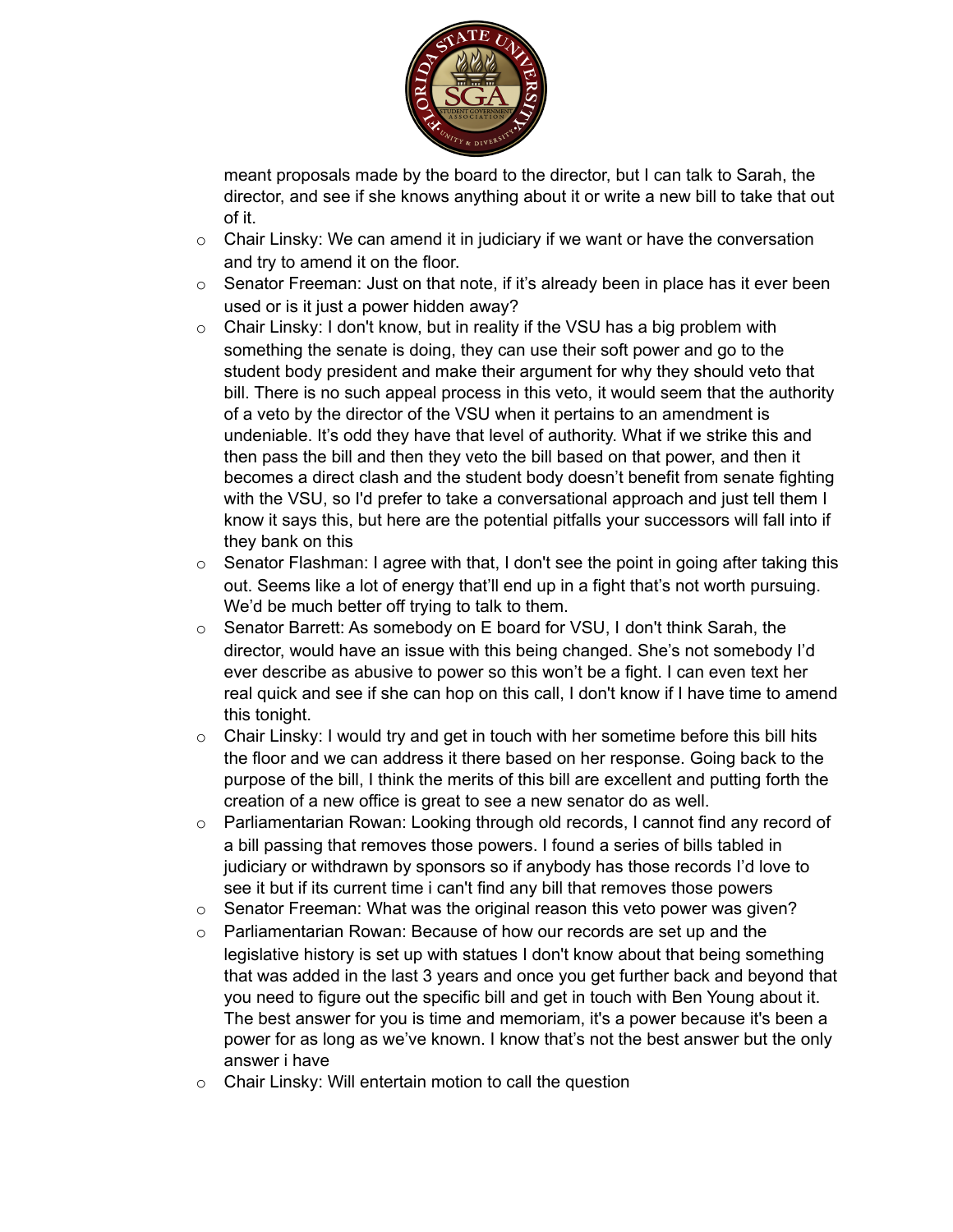

meant proposals made by the board to the director, but I can talk to Sarah, the director, and see if she knows anything about it or write a new bill to take that out of it.

- $\circ$  Chair Linsky: We can amend it in judiciary if we want or have the conversation and try to amend it on the floor.
- $\circ$  Senator Freeman: Just on that note, if it's already been in place has it ever been used or is it just a power hidden away?
- $\circ$  Chair Linsky: I don't know, but in reality if the VSU has a big problem with something the senate is doing, they can use their soft power and go to the student body president and make their argument for why they should veto that bill. There is no such appeal process in this veto, it would seem that the authority of a veto by the director of the VSU when it pertains to an amendment is undeniable. It's odd they have that level of authority. What if we strike this and then pass the bill and then they veto the bill based on that power, and then it becomes a direct clash and the student body doesn't benefit from senate fighting with the VSU, so I'd prefer to take a conversational approach and just tell them I know it says this, but here are the potential pitfalls your successors will fall into if they bank on this
- $\circ$  Senator Flashman: I agree with that, I don't see the point in going after taking this out. Seems like a lot of energy that'll end up in a fight that's not worth pursuing. We'd be much better off trying to talk to them.
- $\circ$  Senator Barrett: As somebody on E board for VSU, I don't think Sarah, the director, would have an issue with this being changed. She's not somebody I'd ever describe as abusive to power so this won't be a fight. I can even text her real quick and see if she can hop on this call, I don't know if I have time to amend this tonight.
- $\circ$  Chair Linsky: I would try and get in touch with her sometime before this bill hits the floor and we can address it there based on her response. Going back to the purpose of the bill, I think the merits of this bill are excellent and putting forth the creation of a new office is great to see a new senator do as well.
- $\circ$  Parliamentarian Rowan: Looking through old records, I cannot find any record of a bill passing that removes those powers. I found a series of bills tabled in judiciary or withdrawn by sponsors so if anybody has those records I'd love to see it but if its current time i can't find any bill that removes those powers
- $\circ$  Senator Freeman: What was the original reason this veto power was given?
- o Parliamentarian Rowan: Because of how our records are set up and the legislative history is set up with statues I don't know about that being something that was added in the last 3 years and once you get further back and beyond that you need to figure out the specific bill and get in touch with Ben Young about it. The best answer for you is time and memoriam, it's a power because it's been a power for as long as we've known. I know that's not the best answer but the only answer i have
- o Chair Linsky: Will entertain motion to call the question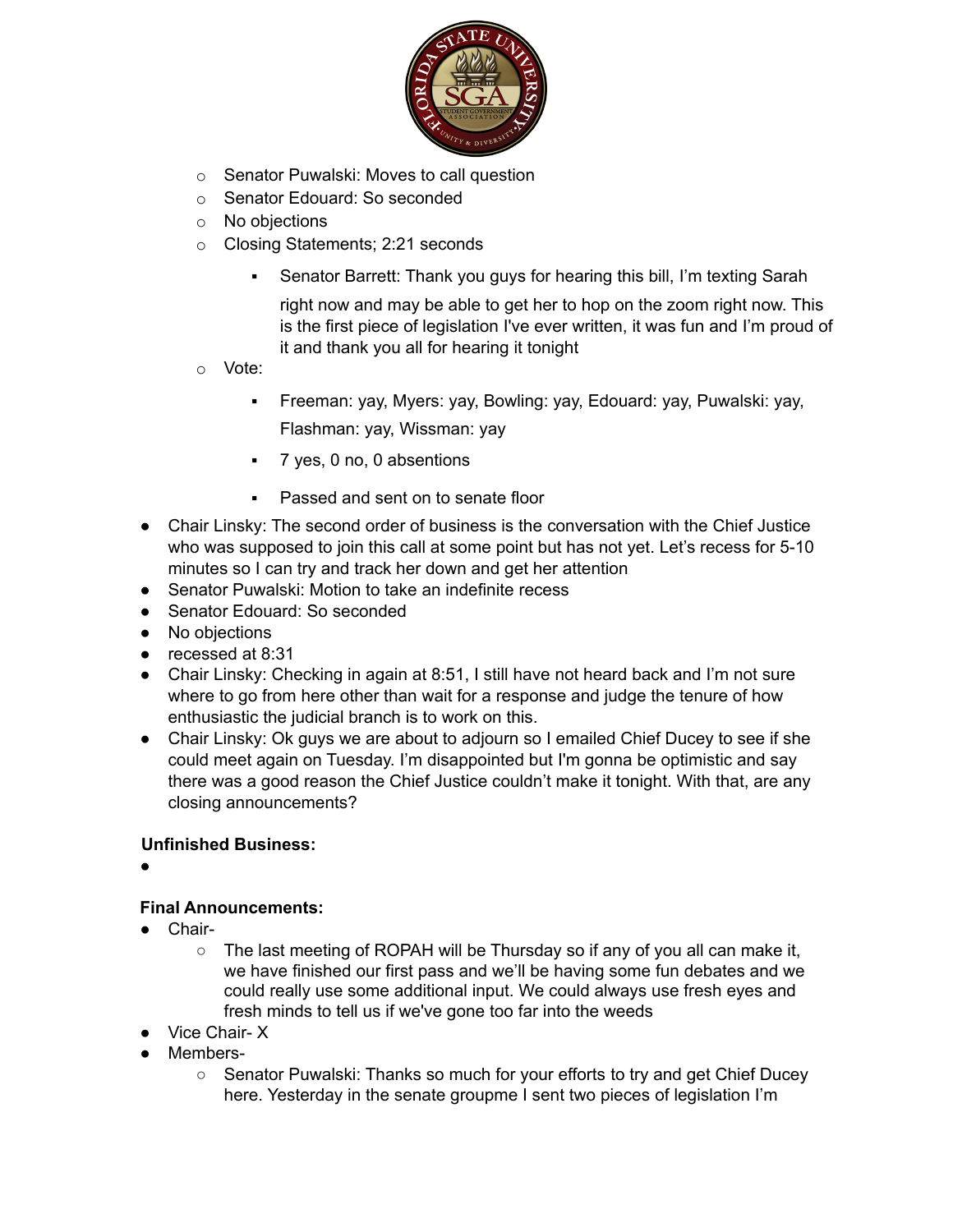

- o Senator Puwalski: Moves to call question
- o Senator Edouard: So seconded
- o No objections
- o Closing Statements; 2:21 seconds
	- Senator Barrett: Thank you guys for hearing this bill, I'm texting Sarah

right now and may be able to get her to hop on the zoom right now. This is the first piece of legislation I've ever written, it was fun and I'm proud of it and thank you all for hearing it tonight

- o Vote:
	- Freeman: yay, Myers: yay, Bowling: yay, Edouard: yay, Puwalski: yay, Flashman: yay, Wissman: yay
	- 7 yes, 0 no, 0 absentions
	- Passed and sent on to senate floor
- Chair Linsky: The second order of business is the conversation with the Chief Justice who was supposed to join this call at some point but has not yet. Let's recess for 5-10 minutes so I can try and track her down and get her attention
- Senator Puwalski: Motion to take an indefinite recess
- Senator Edouard: So seconded
- No objections
- recessed at 8:31
- Chair Linsky: Checking in again at 8:51, I still have not heard back and I'm not sure where to go from here other than wait for a response and judge the tenure of how enthusiastic the judicial branch is to work on this.
- Chair Linsky: Ok guys we are about to adjourn so I emailed Chief Ducey to see if she could meet again on Tuesday. I'm disappointed but I'm gonna be optimistic and say there was a good reason the Chief Justice couldn't make it tonight. With that, are any closing announcements?

### **Unfinished Business:**

●

### **Final Announcements:**

- Chair-
	- The last meeting of ROPAH will be Thursday so if any of you all can make it, we have finished our first pass and we'll be having some fun debates and we could really use some additional input. We could always use fresh eyes and fresh minds to tell us if we've gone too far into the weeds
- Vice Chair- X
- Members-
	- Senator Puwalski: Thanks so much for your efforts to try and get Chief Ducey here. Yesterday in the senate groupme I sent two pieces of legislation I'm